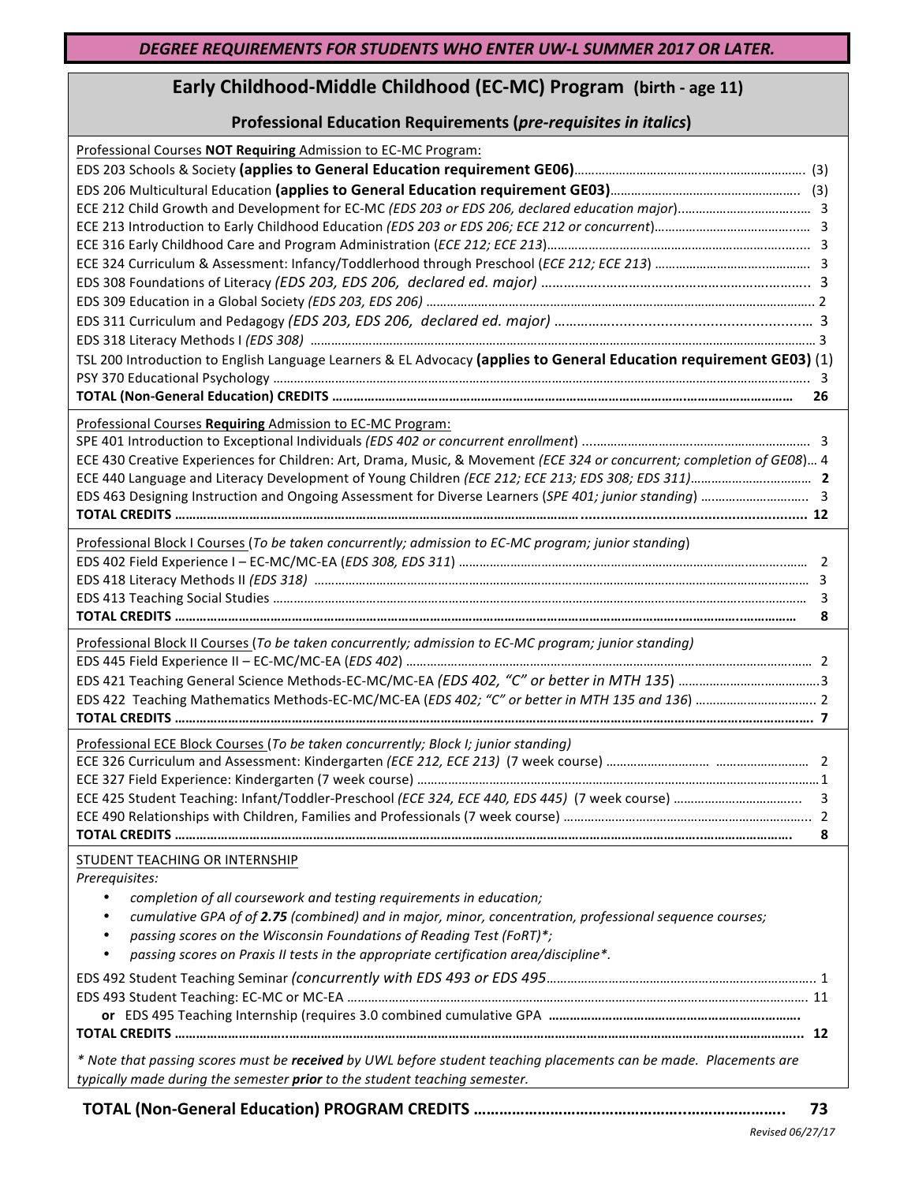## **Early Childhood-Middle Childhood (EC-MC) Program (birth - age 11)**

## **Professional Education Requirements (pre-requisites in italics)**

| Professional Courses NOT Requiring Admission to EC-MC Program:                                                                                                                                  |    |
|-------------------------------------------------------------------------------------------------------------------------------------------------------------------------------------------------|----|
|                                                                                                                                                                                                 |    |
|                                                                                                                                                                                                 |    |
|                                                                                                                                                                                                 |    |
|                                                                                                                                                                                                 |    |
|                                                                                                                                                                                                 |    |
|                                                                                                                                                                                                 |    |
|                                                                                                                                                                                                 |    |
|                                                                                                                                                                                                 |    |
|                                                                                                                                                                                                 |    |
| TSL 200 Introduction to English Language Learners & EL Advocacy (applies to General Education requirement GE03) (1)                                                                             |    |
|                                                                                                                                                                                                 |    |
|                                                                                                                                                                                                 | 26 |
|                                                                                                                                                                                                 |    |
| Professional Courses Requiring Admission to EC-MC Program:                                                                                                                                      |    |
| ECE 430 Creative Experiences for Children: Art, Drama, Music, & Movement (ECE 324 or concurrent; completion of GE08) 4                                                                          |    |
|                                                                                                                                                                                                 |    |
|                                                                                                                                                                                                 |    |
|                                                                                                                                                                                                 |    |
|                                                                                                                                                                                                 |    |
| Professional Block I Courses (To be taken concurrently; admission to EC-MC program; junior standing)                                                                                            |    |
|                                                                                                                                                                                                 |    |
|                                                                                                                                                                                                 |    |
|                                                                                                                                                                                                 | 8  |
| Professional Block II Courses (To be taken concurrently; admission to EC-MC program; junior standing)                                                                                           |    |
|                                                                                                                                                                                                 |    |
| EDS 422 Teaching Mathematics Methods-EC-MC/MC-EA (EDS 402; "C" or better in MTH 135 and 136)  2                                                                                                 |    |
|                                                                                                                                                                                                 |    |
|                                                                                                                                                                                                 |    |
| Professional ECE Block Courses (To be taken concurrently; Block I; junior standing)                                                                                                             |    |
|                                                                                                                                                                                                 |    |
|                                                                                                                                                                                                 |    |
|                                                                                                                                                                                                 |    |
|                                                                                                                                                                                                 | 8  |
| STUDENT TEACHING OR INTERNSHIP<br>Prerequisites:                                                                                                                                                |    |
| completion of all coursework and testing requirements in education;<br>$\bullet$                                                                                                                |    |
| cumulative GPA of of 2.75 (combined) and in major, minor, concentration, professional sequence courses;<br>٠                                                                                    |    |
| passing scores on the Wisconsin Foundations of Reading Test (FoRT)*;<br>$\bullet$                                                                                                               |    |
| passing scores on Praxis II tests in the appropriate certification area/discipline*.<br>$\bullet$                                                                                               |    |
|                                                                                                                                                                                                 |    |
|                                                                                                                                                                                                 |    |
|                                                                                                                                                                                                 |    |
|                                                                                                                                                                                                 |    |
| * Note that passing scores must be received by UWL before student teaching placements can be made. Placements are<br>typically made during the semester prior to the student teaching semester. |    |
|                                                                                                                                                                                                 |    |

**TOTAL (Non-General Education) PROGRAM CREDITS …………………………………………..………………….. 73**